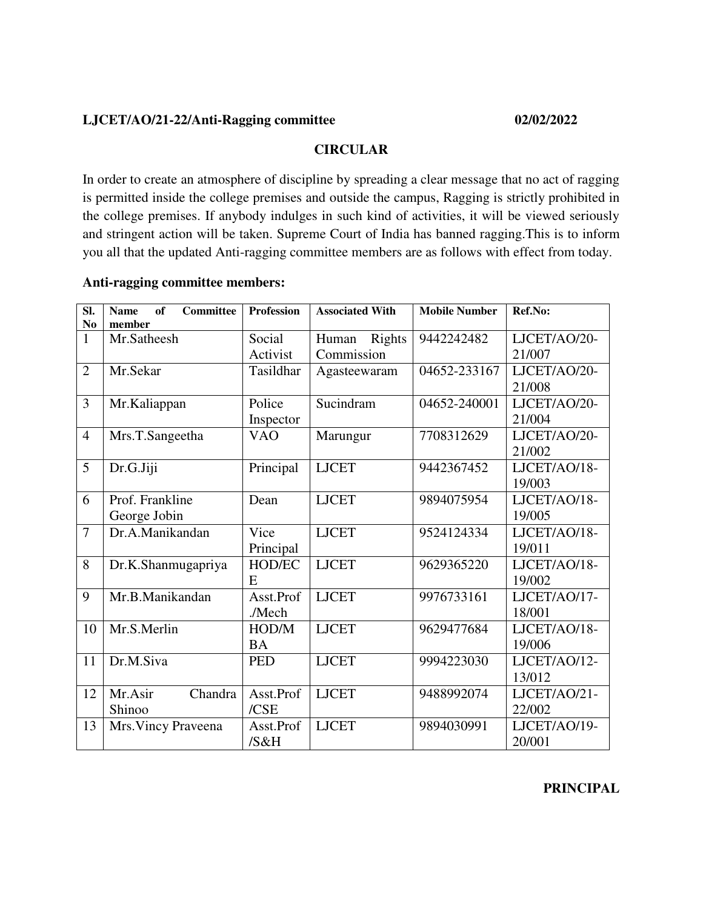### **LJCET/AO/21-22/Anti-Ragging committee 02/02/2022**

#### **CIRCULAR**

In order to create an atmosphere of discipline by spreading a clear message that no act of ragging is permitted inside the college premises and outside the campus, Ragging is strictly prohibited in the college premises. If anybody indulges in such kind of activities, it will be viewed seriously and stringent action will be taken. Supreme Court of India has banned ragging.This is to inform you all that the updated Anti-ragging committee members are as follows with effect from today.

#### **Anti-ragging committee members:**

| SI.<br>N <sub>o</sub> | <b>Committee</b><br><b>Name</b><br>of<br>member | <b>Profession</b>   | <b>Associated With</b>        | <b>Mobile Number</b> | Ref.No:                |
|-----------------------|-------------------------------------------------|---------------------|-------------------------------|----------------------|------------------------|
| $\mathbf{1}$          | Mr.Satheesh                                     | Social<br>Activist  | Human<br>Rights<br>Commission | 9442242482           | LJCET/AO/20-<br>21/007 |
| $\overline{2}$        | Mr.Sekar                                        | Tasildhar           | Agasteewaram                  | 04652-233167         | LJCET/AO/20-<br>21/008 |
| 3                     | Mr.Kaliappan                                    | Police<br>Inspector | Sucindram                     | 04652-240001         | LJCET/AO/20-<br>21/004 |
| $\overline{4}$        | Mrs.T.Sangeetha                                 | <b>VAO</b>          | Marungur                      | 7708312629           | LJCET/AO/20-<br>21/002 |
| 5                     | Dr.G.Jiji                                       | Principal           | <b>LJCET</b>                  | 9442367452           | LJCET/AO/18-<br>19/003 |
| 6                     | Prof. Frankline<br>George Jobin                 | Dean                | <b>LJCET</b>                  | 9894075954           | LJCET/AO/18-<br>19/005 |
| $\overline{7}$        | Dr.A.Manikandan                                 | Vice<br>Principal   | <b>LJCET</b>                  | 9524124334           | LJCET/AO/18-<br>19/011 |
| 8                     | Dr.K.Shanmugapriya                              | HOD/EC<br>E         | <b>LJCET</b>                  | 9629365220           | LJCET/AO/18-<br>19/002 |
| 9                     | Mr.B.Manikandan                                 | Asst.Prof<br>./Mech | <b>LJCET</b>                  | 9976733161           | LJCET/AO/17-<br>18/001 |
| 10                    | Mr.S.Merlin                                     | HOD/M<br><b>BA</b>  | <b>LJCET</b>                  | 9629477684           | LJCET/AO/18-<br>19/006 |
| 11                    | Dr.M.Siva                                       | <b>PED</b>          | <b>LJCET</b>                  | 9994223030           | LJCET/AO/12-<br>13/012 |
| 12                    | Chandra<br>Mr.Asir<br>Shinoo                    | Asst.Prof<br>/CSE   | <b>LJCET</b>                  | 9488992074           | LJCET/AO/21-<br>22/002 |
| 13                    | Mrs. Vincy Praveena                             | Asst.Prof<br>/S&H   | <b>LJCET</b>                  | 9894030991           | LJCET/AO/19-<br>20/001 |

#### **PRINCIPAL**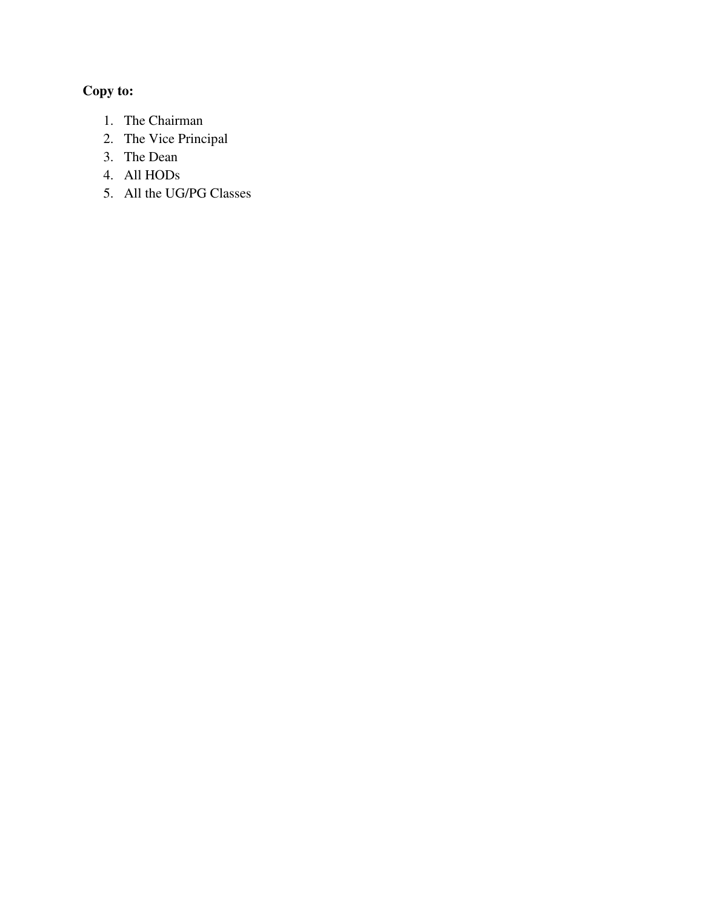- 1. The Chairman
- 2. The Vice Principal
- 3. The Dean
- 4. All HODs
- 5. All the UG/PG Classes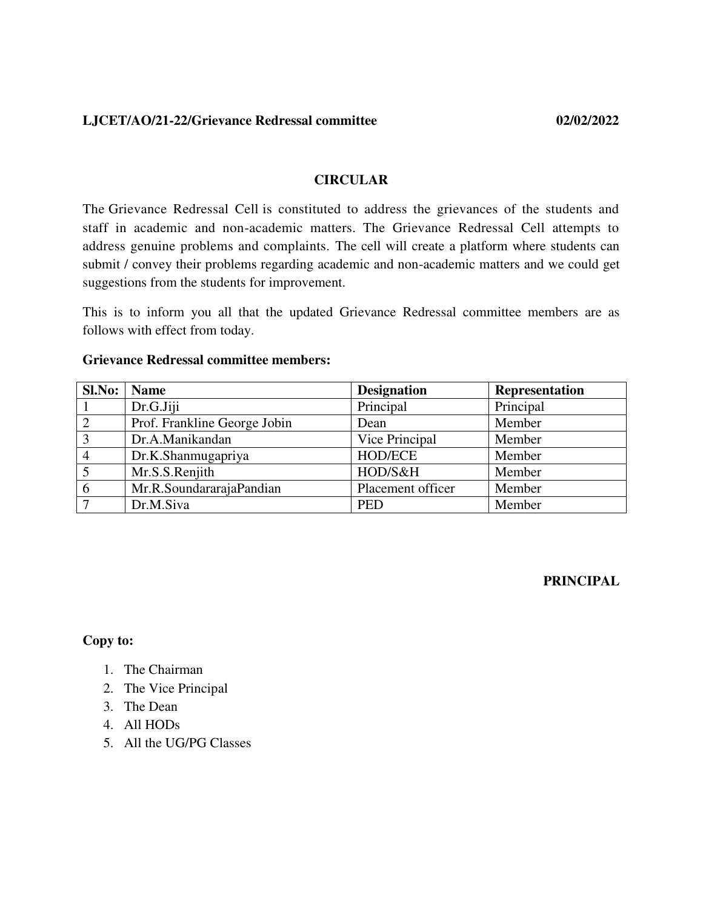**LJCET/AO/21-22/Grievance Redressal committee 02/02/2022**

#### **CIRCULAR**

The Grievance Redressal Cell is constituted to address the grievances of the students and staff in academic and non-academic matters. The Grievance Redressal Cell attempts to address genuine problems and complaints. The cell will create a platform where students can submit / convey their problems regarding academic and non-academic matters and we could get suggestions from the students for improvement.

This is to inform you all that the updated Grievance Redressal committee members are as follows with effect from today.

# **Sl.No:** Name Designation Representation 1 Dr.G.Jiji Principal Principal 2 | Prof. Frankline George Jobin | Dean | Member 3 Dr.A.Manikandan Vice Principal Member 4 | Dr.K.Shanmugapriya | HOD/ECE | Member 5 | Mr.S.S.Renjith | HOD/S&H | Member 6 | Mr.R.SoundararajaPandian | Placement officer | Member 7 | Dr.M.Siva | PED | Member

#### **Grievance Redressal committee members:**

**PRINCIPAL** 

- 1. The Chairman
- 2. The Vice Principal
- 3. The Dean
- 4. All HODs
- 5. All the UG/PG Classes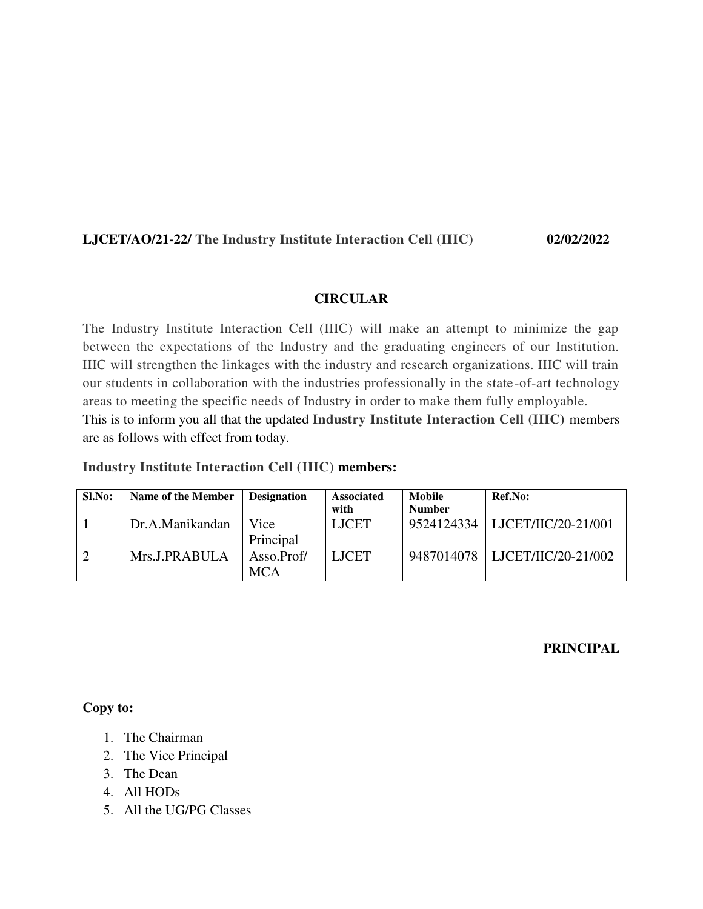# **LJCET/AO/21-22/ The Industry Institute Interaction Cell (IIIC) 02/02/2022**

#### **CIRCULAR**

The Industry Institute Interaction Cell (IIIC) will make an attempt to minimize the gap between the expectations of the Industry and the graduating engineers of our Institution. IIIC will strengthen the linkages with the industry and research organizations. IIIC will train our students in collaboration with the industries professionally in the state-of-art technology areas to meeting the specific needs of Industry in order to make them fully employable. This is to inform you all that the updated **Industry Institute Interaction Cell (IIIC)** members are as follows with effect from today.

|  |  | <b>Industry Institute Interaction Cell (IIIC) members:</b> |  |  |  |
|--|--|------------------------------------------------------------|--|--|--|
|--|--|------------------------------------------------------------|--|--|--|

| Sl.No: | Name of the Member | <b>Designation</b>       | <b>Associated</b><br>with | Mobile<br><b>Number</b> | Ref.No:                          |
|--------|--------------------|--------------------------|---------------------------|-------------------------|----------------------------------|
|        | Dr.A.Manikandan    | Vice<br>Principal        | <b>LJCET</b>              |                         | 9524124334   LJCET/IIC/20-21/001 |
|        | Mrs.J.PRABULA      | Asso.Prof/<br><b>MCA</b> | <b>LJCET</b>              |                         | 9487014078   LJCET/IIC/20-21/002 |

#### **PRINCIPAL**

- 1. The Chairman
- 2. The Vice Principal
- 3. The Dean
- 4. All HODs
- 5. All the UG/PG Classes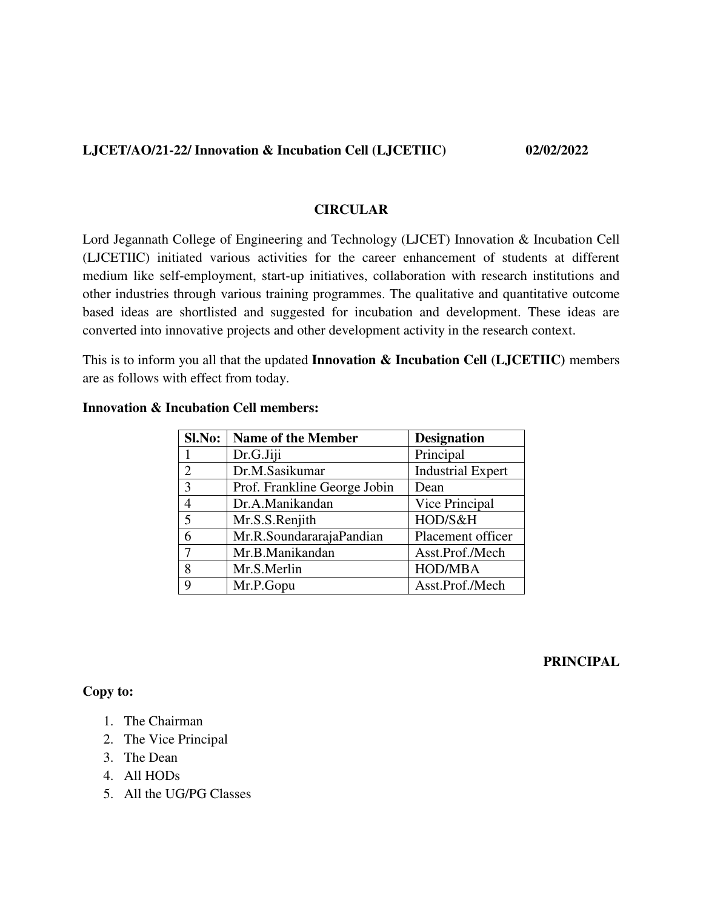#### **LJCET/AO/21-22/ Innovation & Incubation Cell (LJCETIIC) 02/02/2022**

#### **CIRCULAR**

Lord Jegannath College of Engineering and Technology (LJCET) Innovation & Incubation Cell (LJCETIIC) initiated various activities for the career enhancement of students at different medium like self-employment, start-up initiatives, collaboration with research institutions and other industries through various training programmes. The qualitative and quantitative outcome based ideas are shortlisted and suggested for incubation and development. These ideas are converted into innovative projects and other development activity in the research context.

This is to inform you all that the updated **Innovation & Incubation Cell (LJCETIIC)** members are as follows with effect from today.

| Sl.No: | <b>Name of the Member</b>    | <b>Designation</b>       |
|--------|------------------------------|--------------------------|
|        | Dr.G.Jiji                    | Principal                |
| 2      | Dr.M.Sasikumar               | <b>Industrial Expert</b> |
| 3      | Prof. Frankline George Jobin | Dean                     |
|        | Dr.A.Manikandan              | Vice Principal           |
| 5      | Mr.S.S.Renjith               | HOD/S&H                  |
|        | Mr.R.SoundararajaPandian     | Placement officer        |
|        | Mr.B.Manikandan              | Asst.Prof./Mech          |
| 8      | Mr.S.Merlin                  | <b>HOD/MBA</b>           |
| 9      | Mr.P.Gopu                    | Asst.Prof./Mech          |

#### **Innovation & Incubation Cell members:**

#### **PRINCIPAL**

- 1. The Chairman
- 2. The Vice Principal
- 3. The Dean
- 4. All HODs
- 5. All the UG/PG Classes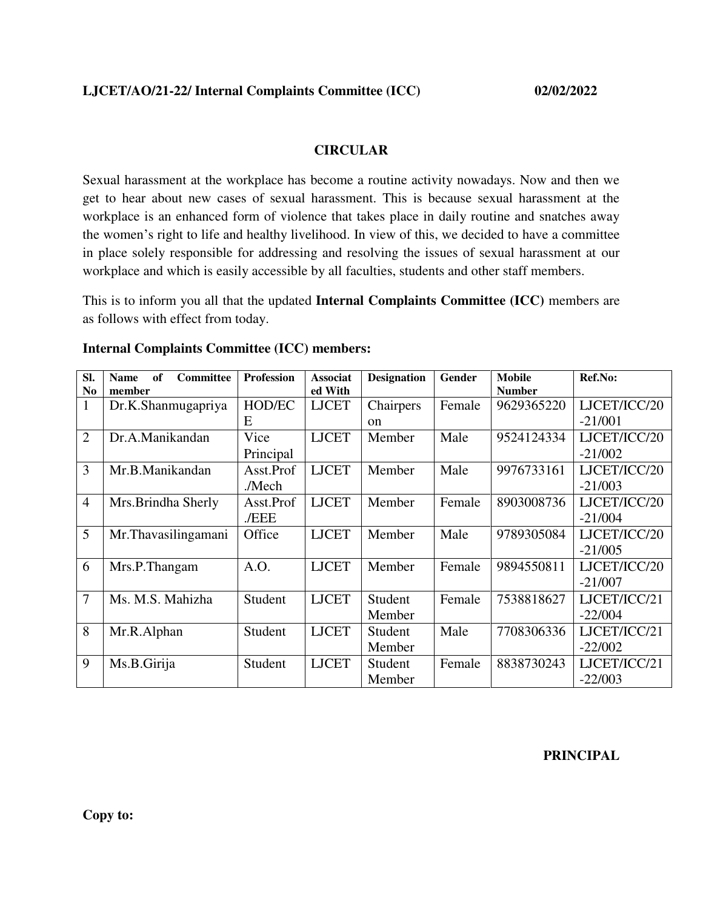#### **CIRCULAR**

Sexual harassment at the workplace has become a routine activity nowadays. Now and then we get to hear about new cases of sexual harassment. This is because sexual harassment at the workplace is an enhanced form of violence that takes place in daily routine and snatches away the women's right to life and healthy livelihood. In view of this, we decided to have a committee in place solely responsible for addressing and resolving the issues of sexual harassment at our workplace and which is easily accessible by all faculties, students and other staff members.

This is to inform you all that the updated **Internal Complaints Committee (ICC)** members are as follows with effect from today.

| Sl.            | <b>Committee</b><br>of<br><b>Name</b> | <b>Profession</b> | <b>Associat</b> | <b>Designation</b> | Gender | <b>Mobile</b> | Ref.No:      |
|----------------|---------------------------------------|-------------------|-----------------|--------------------|--------|---------------|--------------|
| N <sub>0</sub> | member                                |                   | ed With         |                    |        | <b>Number</b> |              |
| $\mathbf{1}$   | Dr.K.Shanmugapriya                    | HOD/EC            | <b>LJCET</b>    | Chairpers          | Female | 9629365220    | LJCET/ICC/20 |
|                |                                       | E                 |                 | <sub>on</sub>      |        |               | $-21/001$    |
| $\overline{2}$ | Dr.A.Manikandan                       | Vice              | <b>LJCET</b>    | Member             | Male   | 9524124334    | LJCET/ICC/20 |
|                |                                       | Principal         |                 |                    |        |               | $-21/002$    |
| 3              | Mr.B.Manikandan                       | Asst.Prof         | <b>LJCET</b>    | Member             | Male   | 9976733161    | LJCET/ICC/20 |
|                |                                       | ./Mech            |                 |                    |        |               | $-21/003$    |
| $\overline{4}$ | Mrs.Brindha Sherly                    | Asst.Prof         | <b>LJCET</b>    | Member             | Female | 8903008736    | LJCET/ICC/20 |
|                |                                       | ./EEE             |                 |                    |        |               | $-21/004$    |
| 5              | Mr.Thavasilingamani                   | Office            | <b>LJCET</b>    | Member             | Male   | 9789305084    | LJCET/ICC/20 |
|                |                                       |                   |                 |                    |        |               | $-21/005$    |
| 6              | Mrs.P.Thangam                         | A.O.              | <b>LJCET</b>    | Member             | Female | 9894550811    | LJCET/ICC/20 |
|                |                                       |                   |                 |                    |        |               | $-21/007$    |
| 7              | Ms. M.S. Mahizha                      | Student           | <b>LJCET</b>    | Student            | Female | 7538818627    | LJCET/ICC/21 |
|                |                                       |                   |                 | Member             |        |               | $-22/004$    |
| 8              | Mr.R.Alphan                           | Student           | <b>LJCET</b>    | Student            | Male   | 7708306336    | LJCET/ICC/21 |
|                |                                       |                   |                 | Member             |        |               | $-22/002$    |
| 9              | Ms.B.Girija                           | Student           | <b>LJCET</b>    | Student            | Female | 8838730243    | LJCET/ICC/21 |
|                |                                       |                   |                 | Member             |        |               | $-22/003$    |

#### **Internal Complaints Committee (ICC) members:**

#### **PRINCIPAL**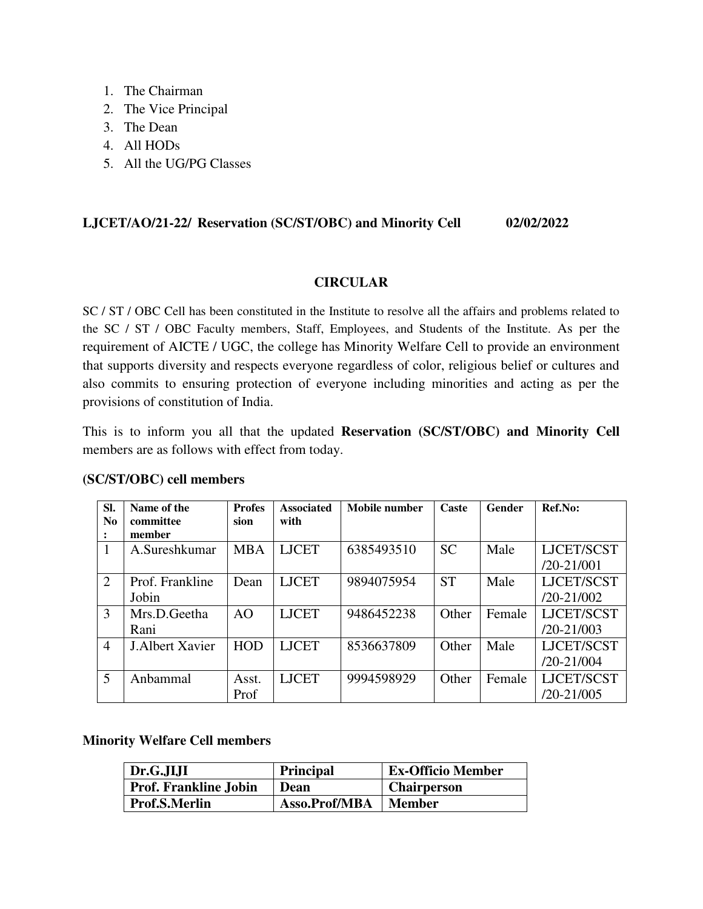- 1. The Chairman
- 2. The Vice Principal
- 3. The Dean
- 4. All HODs
- 5. All the UG/PG Classes

### **LJCET/AO/21-22/ Reservation (SC/ST/OBC) and Minority Cell 02/02/2022**

#### **CIRCULAR**

SC / ST / OBC Cell has been constituted in the Institute to resolve all the affairs and problems related to the SC / ST / OBC Faculty members, Staff, Employees, and Students of the Institute. As per the requirement of AICTE / UGC, the college has Minority Welfare Cell to provide an environment that supports diversity and respects everyone regardless of color, religious belief or cultures and also commits to ensuring protection of everyone including minorities and acting as per the provisions of constitution of India.

This is to inform you all that the updated **Reservation (SC/ST/OBC) and Minority Cell**  members are as follows with effect from today.

| SI.<br>N <sub>0</sub> | Name of the<br>committee | <b>Profes</b><br>sion | <b>Associated</b><br>with | Mobile number | Caste     | Gender | Ref.No:        |
|-----------------------|--------------------------|-----------------------|---------------------------|---------------|-----------|--------|----------------|
|                       | member                   |                       |                           |               |           |        |                |
| 1                     | A.Sureshkumar            | <b>MBA</b>            | <b>LJCET</b>              | 6385493510    | <b>SC</b> | Male   | LJCET/SCST     |
|                       |                          |                       |                           |               |           |        | $/20 - 21/001$ |
| 2                     | Prof. Frankline          | Dean                  | <b>LJCET</b>              | 9894075954    | <b>ST</b> | Male   | LJCET/SCST     |
|                       | Jobin                    |                       |                           |               |           |        | $/20 - 21/002$ |
| 3                     | Mrs.D.Geetha             | A <sub>O</sub>        | <b>LJCET</b>              | 9486452238    | Other     | Female | LJCET/SCST     |
|                       | Rani                     |                       |                           |               |           |        | $/20 - 21/003$ |
| $\overline{4}$        | <b>J.Albert Xavier</b>   | <b>HOD</b>            | <b>LJCET</b>              | 8536637809    | Other     | Male   | LJCET/SCST     |
|                       |                          |                       |                           |               |           |        | $/20 - 21/004$ |
| 5                     | Anbammal                 | Asst.                 | <b>LJCET</b>              | 9994598929    | Other     | Female | LJCET/SCST     |
|                       |                          | Prof                  |                           |               |           |        | $/20 - 21/005$ |

#### **(SC/ST/OBC) cell members**

#### **Minority Welfare Cell members**

| Dr.G.JIJI                    | <b>Principal</b> | <b>Ex-Officio Member</b> |
|------------------------------|------------------|--------------------------|
| <b>Prof. Frankline Jobin</b> | Dean             | <b>Chairperson</b>       |
| Prof.S.Merlin                | Asso.Prof/MBA    | Member                   |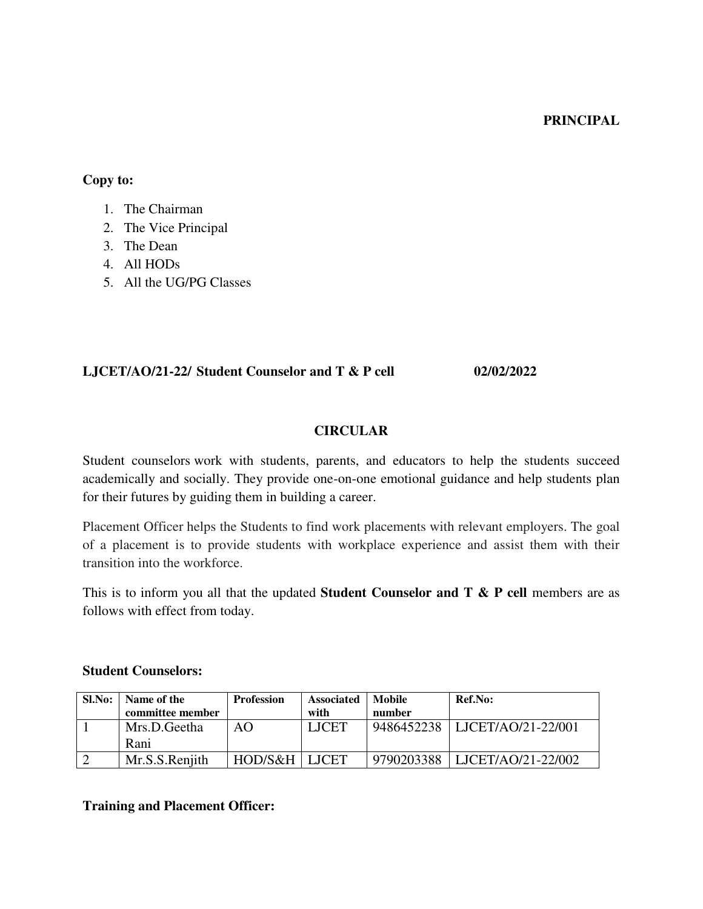#### **PRINCIPAL**

#### **Copy to:**

| The Chairman |
|--------------|
|              |

- 2. The Vice Principal
- 3. The Dean
- 4. All HODs
- 5. All the UG/PG Classes

#### **LJCET/AO/21-22/ Student Counselor and T & P cell 02/02/2022**

## **CIRCULAR**

Student counselors work with students, parents, and educators to help the students succeed academically and socially. They provide one-on-one emotional guidance and help students plan for their futures by guiding them in building a career.

Placement Officer helps the Students to find work placements with relevant employers. The goal of a placement is to provide students with workplace experience and assist them with their transition into the workforce.

This is to inform you all that the updated **Student Counselor and T & P cell** members are as follows with effect from today.

#### **Student Counselors:**

| Sl.No: | Name of the      | <b>Profession</b> | <b>Associated</b> | Mobile     | Ref.No:                       |
|--------|------------------|-------------------|-------------------|------------|-------------------------------|
|        | committee member |                   | with              | number     |                               |
|        | Mrs.D.Geetha     | AO                | <b>LJCET</b>      |            | 9486452238 LICET/AO/21-22/001 |
|        | Rani             |                   |                   |            |                               |
|        | Mr.S.S.Reniith   | HOD/S&H           | <b>LICET</b>      | 9790203388 | LJCET/AO/21-22/002            |

#### **Training and Placement Officer:**